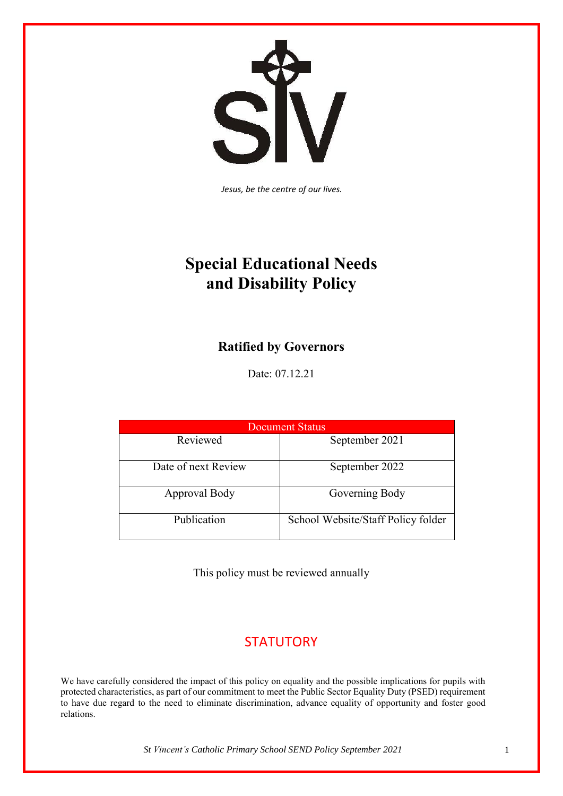SÍ  $\overline{\textbf{V}}$ 

*Jesus, be the centre of our lives.*

# **Special Educational Needs and Disability Policy**

# **Ratified by Governors**

Date: 07.12.21

| Document Status     |                                    |
|---------------------|------------------------------------|
| Reviewed            | September 2021                     |
| Date of next Review | September 2022                     |
| Approval Body       | Governing Body                     |
| Publication         | School Website/Staff Policy folder |

This policy must be reviewed annually

# **STATUTORY**

We have carefully considered the impact of this policy on equality and the possible implications for pupils with protected characteristics, as part of our commitment to meet the Public Sector Equality Duty (PSED) requirement to have due regard to the need to eliminate discrimination, advance equality of opportunity and foster good relations.

*St Vincent's Catholic Primary School SEND Policy September 2021* 1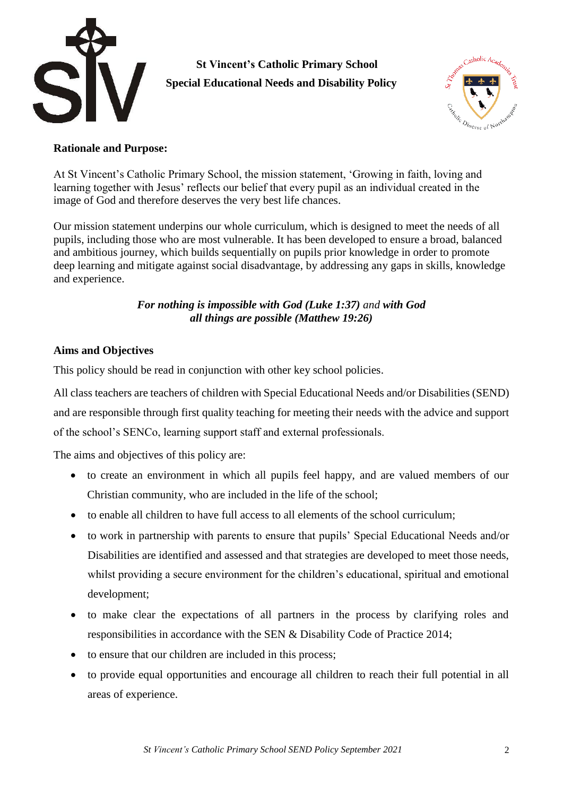

 **St Vincent's Catholic Primary School Special Educational Needs and Disability Policy**



#### **Rationale and Purpose:**

At St Vincent's Catholic Primary School, the mission statement, 'Growing in faith, loving and learning together with Jesus' reflects our belief that every pupil as an individual created in the image of God and therefore deserves the very best life chances.

Our mission statement underpins our whole curriculum, which is designed to meet the needs of all pupils, including those who are most vulnerable. It has been developed to ensure a broad, balanced and ambitious journey, which builds sequentially on pupils prior knowledge in order to promote deep learning and mitigate against social disadvantage, by addressing any gaps in skills, knowledge and experience.

#### *For nothing is impossible with God (Luke 1:37) and with God all things are possible (Matthew 19:26)*

#### **Aims and Objectives**

This policy should be read in conjunction with other key school policies.

All class teachers are teachers of children with Special Educational Needs and/or Disabilities (SEND) and are responsible through first quality teaching for meeting their needs with the advice and support of the school's SENCo, learning support staff and external professionals.

The aims and objectives of this policy are:

- to create an environment in which all pupils feel happy, and are valued members of our Christian community, who are included in the life of the school;
- to enable all children to have full access to all elements of the school curriculum;
- to work in partnership with parents to ensure that pupils' Special Educational Needs and/or Disabilities are identified and assessed and that strategies are developed to meet those needs, whilst providing a secure environment for the children's educational, spiritual and emotional development;
- to make clear the expectations of all partners in the process by clarifying roles and responsibilities in accordance with the SEN & Disability Code of Practice 2014;
- to ensure that our children are included in this process;
- to provide equal opportunities and encourage all children to reach their full potential in all areas of experience.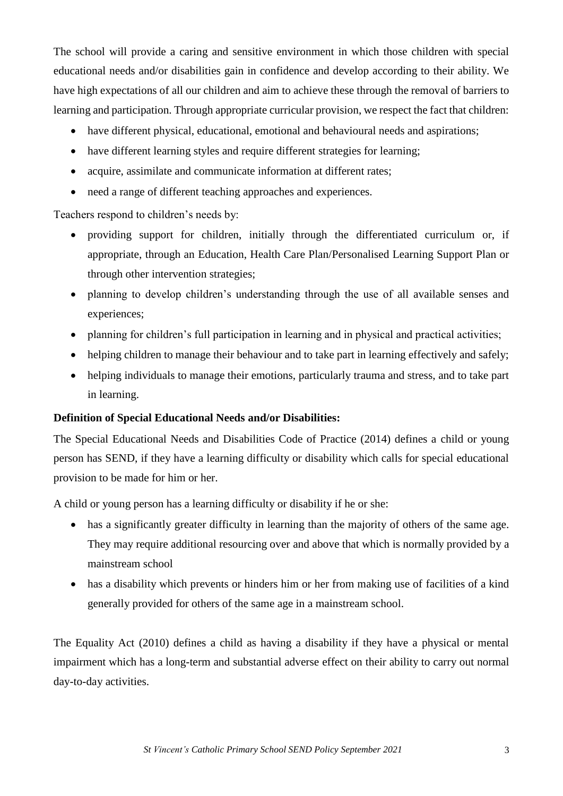The school will provide a caring and sensitive environment in which those children with special educational needs and/or disabilities gain in confidence and develop according to their ability. We have high expectations of all our children and aim to achieve these through the removal of barriers to learning and participation. Through appropriate curricular provision, we respect the fact that children:

- have different physical, educational, emotional and behavioural needs and aspirations;
- have different learning styles and require different strategies for learning;
- acquire, assimilate and communicate information at different rates;
- need a range of different teaching approaches and experiences.

Teachers respond to children's needs by:

- providing support for children, initially through the differentiated curriculum or, if appropriate, through an Education, Health Care Plan/Personalised Learning Support Plan or through other intervention strategies;
- planning to develop children's understanding through the use of all available senses and experiences;
- planning for children's full participation in learning and in physical and practical activities;
- helping children to manage their behaviour and to take part in learning effectively and safely;
- helping individuals to manage their emotions, particularly trauma and stress, and to take part in learning.

# **Definition of Special Educational Needs and/or Disabilities:**

The Special Educational Needs and Disabilities Code of Practice (2014) defines a child or young person has SEND, if they have a learning difficulty or disability which calls for special educational provision to be made for him or her.

A child or young person has a learning difficulty or disability if he or she:

- has a significantly greater difficulty in learning than the majority of others of the same age. They may require additional resourcing over and above that which is normally provided by a mainstream school
- has a disability which prevents or hinders him or her from making use of facilities of a kind generally provided for others of the same age in a mainstream school.

The Equality Act (2010) defines a child as having a disability if they have a physical or mental impairment which has a long-term and substantial adverse effect on their ability to carry out normal day-to-day activities.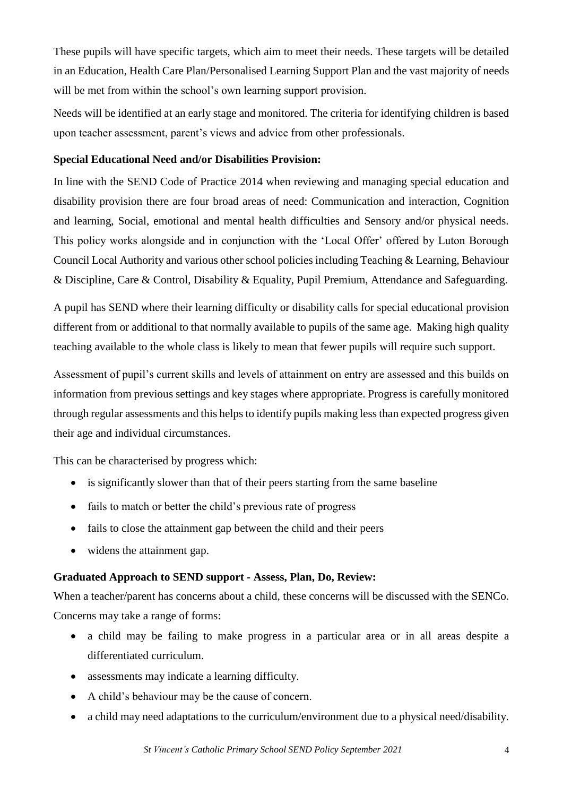These pupils will have specific targets, which aim to meet their needs. These targets will be detailed in an Education, Health Care Plan/Personalised Learning Support Plan and the vast majority of needs will be met from within the school's own learning support provision.

Needs will be identified at an early stage and monitored. The criteria for identifying children is based upon teacher assessment, parent's views and advice from other professionals.

#### **Special Educational Need and/or Disabilities Provision:**

In line with the SEND Code of Practice 2014 when reviewing and managing special education and disability provision there are four broad areas of need: Communication and interaction, Cognition and learning, Social, emotional and mental health difficulties and Sensory and/or physical needs. This policy works alongside and in conjunction with the 'Local Offer' offered by Luton Borough Council Local Authority and various other school policies including Teaching & Learning, Behaviour & Discipline, Care & Control, Disability & Equality, Pupil Premium, Attendance and Safeguarding.

A pupil has SEND where their learning difficulty or disability calls for special educational provision different from or additional to that normally available to pupils of the same age. Making high quality teaching available to the whole class is likely to mean that fewer pupils will require such support.

Assessment of pupil's current skills and levels of attainment on entry are assessed and this builds on information from previous settings and key stages where appropriate. Progress is carefully monitored through regular assessments and this helps to identify pupils making less than expected progress given their age and individual circumstances.

This can be characterised by progress which:

- is significantly slower than that of their peers starting from the same baseline
- fails to match or better the child's previous rate of progress
- fails to close the attainment gap between the child and their peers
- widens the attainment gap.

#### **Graduated Approach to SEND support - Assess, Plan, Do, Review:**

When a teacher/parent has concerns about a child, these concerns will be discussed with the SENCo. Concerns may take a range of forms:

- a child may be failing to make progress in a particular area or in all areas despite a differentiated curriculum.
- assessments may indicate a learning difficulty.
- A child's behaviour may be the cause of concern.
- a child may need adaptations to the curriculum/environment due to a physical need/disability.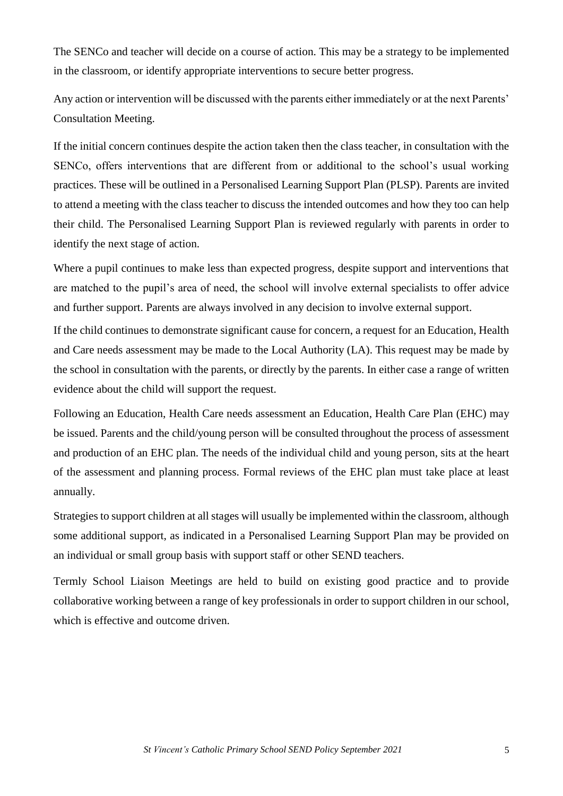The SENCo and teacher will decide on a course of action. This may be a strategy to be implemented in the classroom, or identify appropriate interventions to secure better progress.

Any action or intervention will be discussed with the parents either immediately or at the next Parents' Consultation Meeting.

If the initial concern continues despite the action taken then the class teacher, in consultation with the SENCo, offers interventions that are different from or additional to the school's usual working practices. These will be outlined in a Personalised Learning Support Plan (PLSP). Parents are invited to attend a meeting with the class teacher to discuss the intended outcomes and how they too can help their child. The Personalised Learning Support Plan is reviewed regularly with parents in order to identify the next stage of action.

Where a pupil continues to make less than expected progress, despite support and interventions that are matched to the pupil's area of need, the school will involve external specialists to offer advice and further support. Parents are always involved in any decision to involve external support.

If the child continues to demonstrate significant cause for concern, a request for an Education, Health and Care needs assessment may be made to the Local Authority (LA). This request may be made by the school in consultation with the parents, or directly by the parents. In either case a range of written evidence about the child will support the request.

Following an Education, Health Care needs assessment an Education, Health Care Plan (EHC) may be issued. Parents and the child/young person will be consulted throughout the process of assessment and production of an EHC plan. The needs of the individual child and young person, sits at the heart of the assessment and planning process. Formal reviews of the EHC plan must take place at least annually.

Strategies to support children at all stages will usually be implemented within the classroom, although some additional support, as indicated in a Personalised Learning Support Plan may be provided on an individual or small group basis with support staff or other SEND teachers.

Termly School Liaison Meetings are held to build on existing good practice and to provide collaborative working between a range of key professionals in order to support children in our school, which is effective and outcome driven.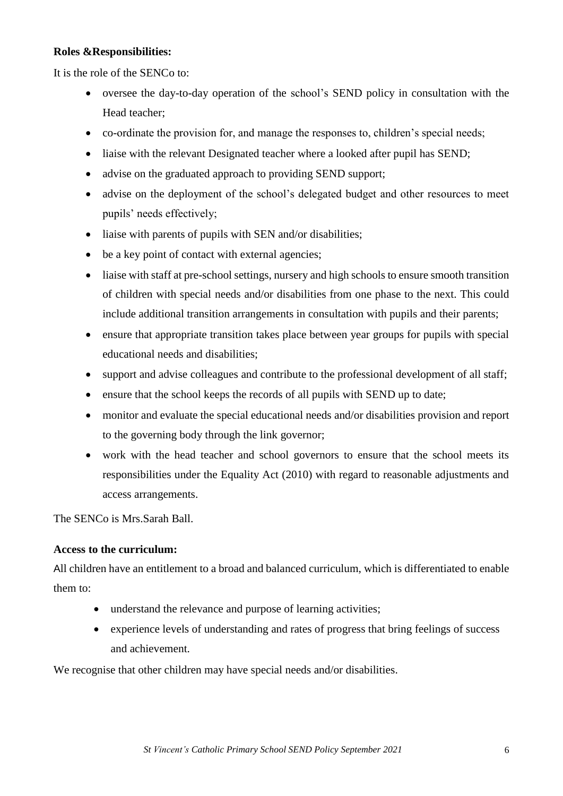#### **Roles &Responsibilities:**

It is the role of the SENCo to:

- oversee the day-to-day operation of the school's SEND policy in consultation with the Head teacher;
- co-ordinate the provision for, and manage the responses to, children's special needs;
- liaise with the relevant Designated teacher where a looked after pupil has SEND;
- advise on the graduated approach to providing SEND support;
- advise on the deployment of the school's delegated budget and other resources to meet pupils' needs effectively;
- liaise with parents of pupils with SEN and/or disabilities;
- be a key point of contact with external agencies;
- liaise with staff at pre-school settings, nursery and high schools to ensure smooth transition of children with special needs and/or disabilities from one phase to the next. This could include additional transition arrangements in consultation with pupils and their parents;
- ensure that appropriate transition takes place between year groups for pupils with special educational needs and disabilities;
- support and advise colleagues and contribute to the professional development of all staff;
- ensure that the school keeps the records of all pupils with SEND up to date;
- monitor and evaluate the special educational needs and/or disabilities provision and report to the governing body through the link governor;
- work with the head teacher and school governors to ensure that the school meets its responsibilities under the Equality Act (2010) with regard to reasonable adjustments and access arrangements.

The SENCo is Mrs.Sarah Ball.

#### **Access to the curriculum:**

All children have an entitlement to a broad and balanced curriculum, which is differentiated to enable them to:

- understand the relevance and purpose of learning activities;
- experience levels of understanding and rates of progress that bring feelings of success and achievement.

We recognise that other children may have special needs and/or disabilities.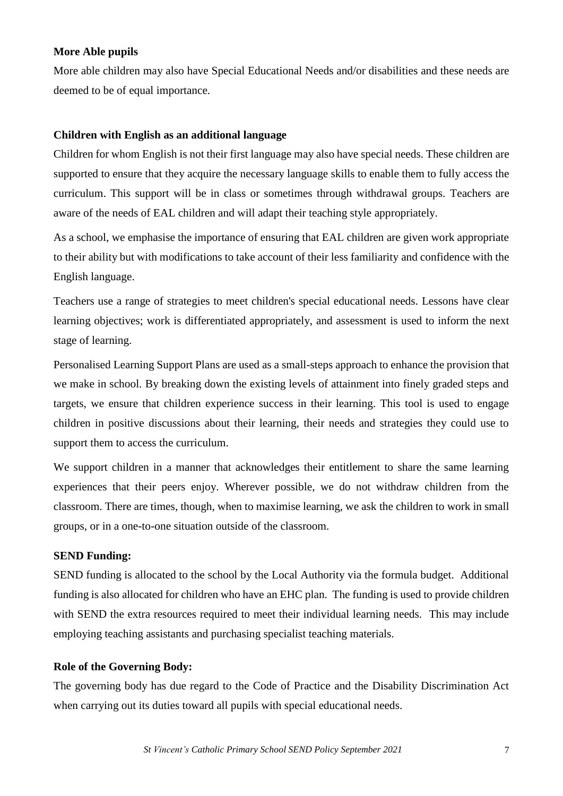#### **More Able pupils**

More able children may also have Special Educational Needs and/or disabilities and these needs are deemed to be of equal importance.

#### **Children with English as an additional language**

Children for whom English is not their first language may also have special needs. These children are supported to ensure that they acquire the necessary language skills to enable them to fully access the curriculum. This support will be in class or sometimes through withdrawal groups. Teachers are aware of the needs of EAL children and will adapt their teaching style appropriately.

As a school, we emphasise the importance of ensuring that EAL children are given work appropriate to their ability but with modifications to take account of their less familiarity and confidence with the English language.

Teachers use a range of strategies to meet children's special educational needs. Lessons have clear learning objectives; work is differentiated appropriately, and assessment is used to inform the next stage of learning.

Personalised Learning Support Plans are used as a small-steps approach to enhance the provision that we make in school. By breaking down the existing levels of attainment into finely graded steps and targets, we ensure that children experience success in their learning. This tool is used to engage children in positive discussions about their learning, their needs and strategies they could use to support them to access the curriculum.

We support children in a manner that acknowledges their entitlement to share the same learning experiences that their peers enjoy. Wherever possible, we do not withdraw children from the classroom. There are times, though, when to maximise learning, we ask the children to work in small groups, or in a one-to-one situation outside of the classroom.

#### **SEND Funding:**

SEND funding is allocated to the school by the Local Authority via the formula budget. Additional funding is also allocated for children who have an EHC plan. The funding is used to provide children with SEND the extra resources required to meet their individual learning needs. This may include employing teaching assistants and purchasing specialist teaching materials.

#### **Role of the Governing Body:**

The governing body has due regard to the Code of Practice and the Disability Discrimination Act when carrying out its duties toward all pupils with special educational needs.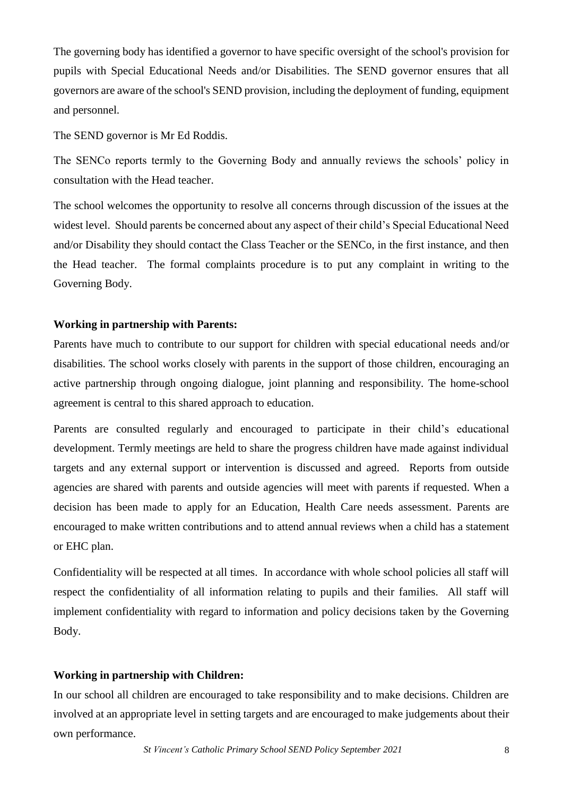The governing body has identified a governor to have specific oversight of the school's provision for pupils with Special Educational Needs and/or Disabilities. The SEND governor ensures that all governors are aware of the school's SEND provision, including the deployment of funding, equipment and personnel.

The SEND governor is Mr Ed Roddis.

The SENCo reports termly to the Governing Body and annually reviews the schools' policy in consultation with the Head teacher.

The school welcomes the opportunity to resolve all concerns through discussion of the issues at the widest level. Should parents be concerned about any aspect of their child's Special Educational Need and/or Disability they should contact the Class Teacher or the SENCo, in the first instance, and then the Head teacher. The formal complaints procedure is to put any complaint in writing to the Governing Body.

#### **Working in partnership with Parents:**

Parents have much to contribute to our support for children with special educational needs and/or disabilities. The school works closely with parents in the support of those children, encouraging an active partnership through ongoing dialogue, joint planning and responsibility. The home-school agreement is central to this shared approach to education.

Parents are consulted regularly and encouraged to participate in their child's educational development. Termly meetings are held to share the progress children have made against individual targets and any external support or intervention is discussed and agreed. Reports from outside agencies are shared with parents and outside agencies will meet with parents if requested. When a decision has been made to apply for an Education, Health Care needs assessment. Parents are encouraged to make written contributions and to attend annual reviews when a child has a statement or EHC plan.

Confidentiality will be respected at all times. In accordance with whole school policies all staff will respect the confidentiality of all information relating to pupils and their families. All staff will implement confidentiality with regard to information and policy decisions taken by the Governing Body.

# **Working in partnership with Children:**

In our school all children are encouraged to take responsibility and to make decisions. Children are involved at an appropriate level in setting targets and are encouraged to make judgements about their own performance.